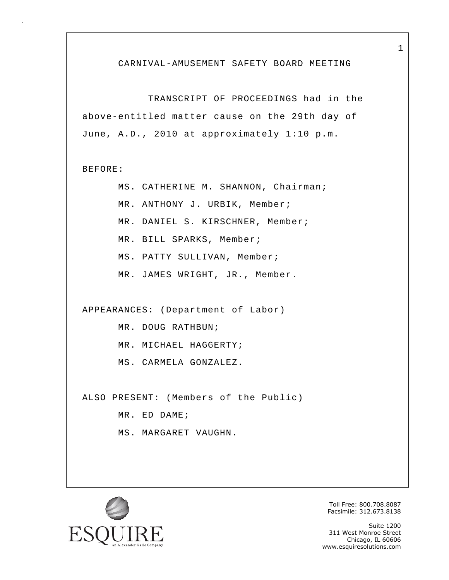#### CARNIVAL-AMUSEMENT SAFETY BOARD MEETING

 TRANSCRIPT OF PROCEEDINGS had in the above-entitled matter cause on the 29th day of June, A.D., 2010 at approximately 1:10 p.m.

BEFORE:

 MS. CATHERINE M. SHANNON, Chairman; MR. ANTHONY J. URBIK, Member; MR. DANIEL S. KIRSCHNER, Member; MR. BILL SPARKS, Member; MS. PATTY SULLIVAN, Member; MR. JAMES WRIGHT, JR., Member.

APPEARANCES: (Department of Labor)

MR. DOUG RATHBUN;

MR. MICHAEL HAGGERTY;

MS. CARMELA GONZALEZ.

ALSO PRESENT: (Members of the Public)

MR. ED DAME;

MS. MARGARET VAUGHN.



Toll Free: 800.708.8087 Facsimile: 312.673.8138

Suite 1200 311 West Monroe Street Chicago, IL 60606 www.esquiresolutions.com

1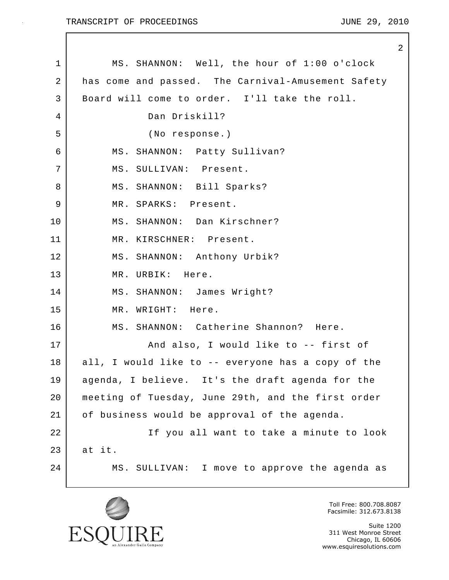$\mathbf{I}$ 

|    | $\mathbf{2}$                                       |
|----|----------------------------------------------------|
| 1  | MS. SHANNON: Well, the hour of 1:00 o'clock        |
| 2  | has come and passed. The Carnival-Amusement Safety |
| 3  | Board will come to order. I'll take the roll.      |
| 4  | Dan Driskill?                                      |
| 5  | (No response.)                                     |
| 6  | MS. SHANNON: Patty Sullivan?                       |
| 7  | MS. SULLIVAN: Present.                             |
| 8  | MS. SHANNON: Bill Sparks?                          |
| 9  | MR. SPARKS: Present.                               |
| 10 | MS. SHANNON: Dan Kirschner?                        |
| 11 | MR. KIRSCHNER: Present.                            |
| 12 | MS. SHANNON: Anthony Urbik?                        |
| 13 | MR. URBIK: Here.                                   |
| 14 | MS. SHANNON: James Wright?                         |
| 15 | MR. WRIGHT: Here.                                  |
| 16 | MS. SHANNON: Catherine Shannon? Here.              |
| 17 | And also, I would like to -- first of              |
| 18 | all, I would like to -- everyone has a copy of the |
| 19 | agenda, I believe. It's the draft agenda for the   |
| 20 | meeting of Tuesday, June 29th, and the first order |
| 21 | of business would be approval of the agenda.       |
| 22 | If you all want to take a minute to look           |
| 23 | at it.                                             |
| 24 | MS. SULLIVAN: I move to approve the agenda as      |
|    |                                                    |



Toll Free: 800.708.8087 Facsimile: 312.673.8138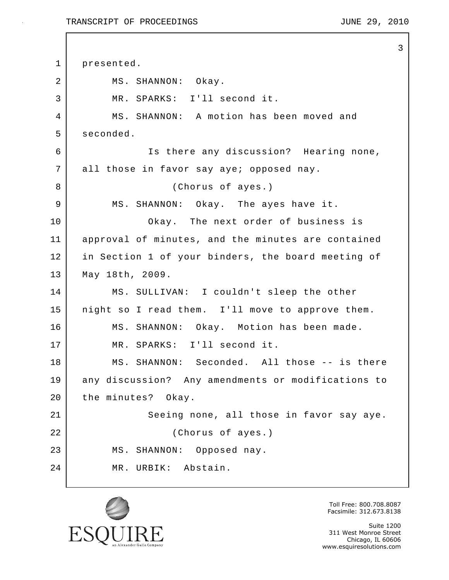#### TRANSCRIPT OF PROCEEDINGS TRANSCRIPT OF  $\overline{29}$ , 2010

3

1 presented. 2 MS. SHANNON: Okay. 3 MR. SPARKS: I'll second it. 4 MS. SHANNON: A motion has been moved and 5 seconded. 6 Is there any discussion? Hearing none, 7 all those in favor say aye; opposed nay. 8 (Chorus of ayes.) 9 MS. SHANNON: Okay. The ayes have it. 10 | Chay. The next order of business is 11 approval of minutes, and the minutes are contained 12 in Section 1 of your binders, the board meeting of 13 May 18th, 2009. 14 MS. SULLIVAN: I couldn't sleep the other 15 | night so I read them. I'll move to approve them. 16 MS. SHANNON: Okay. Motion has been made. 17 MR. SPARKS: I'll second it. 18 MS. SHANNON: Seconded. All those -- is there 19 any discussion? Any amendments or modifications to 20 the minutes? Okay. 21 Seeing none, all those in favor say aye. 22 (Chorus of ayes.) 23 MS. SHANNON: Opposed nay. 24 MR. URBIK: Abstain.



Toll Free: 800.708.8087 Facsimile: 312.673.8138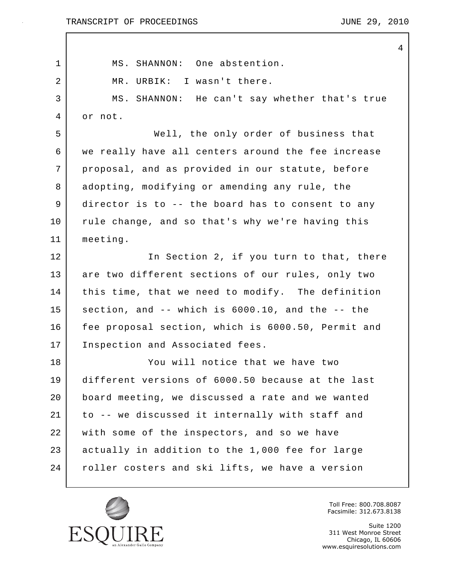$\mathbf{I}$ 

|    |                                                    | 4 |
|----|----------------------------------------------------|---|
| 1  | MS. SHANNON: One abstention.                       |   |
| 2  | MR. URBIK: I wasn't there.                         |   |
| 3  | MS. SHANNON: He can't say whether that's true      |   |
| 4  | or not.                                            |   |
| 5  | Well, the only order of business that              |   |
| 6  | we really have all centers around the fee increase |   |
| 7  | proposal, and as provided in our statute, before   |   |
| 8  | adopting, modifying or amending any rule, the      |   |
| 9  | director is to -- the board has to consent to any  |   |
| 10 | rule change, and so that's why we're having this   |   |
| 11 | meeting.                                           |   |
| 12 | In Section 2, if you turn to that, there           |   |
| 13 | are two different sections of our rules, only two  |   |
| 14 | this time, that we need to modify. The definition  |   |
| 15 | section, and -- which is 6000.10, and the -- the   |   |
| 16 | fee proposal section, which is 6000.50, Permit and |   |
| 17 | Inspection and Associated fees.                    |   |
| 18 | You will notice that we have two                   |   |
| 19 | different versions of 6000.50 because at the last  |   |
| 20 | board meeting, we discussed a rate and we wanted   |   |
| 21 | to -- we discussed it internally with staff and    |   |
| 22 | with some of the inspectors, and so we have        |   |
| 23 | actually in addition to the 1,000 fee for large    |   |
| 24 | roller costers and ski lifts, we have a version    |   |
|    |                                                    |   |



Toll Free: 800.708.8087 Facsimile: 312.673.8138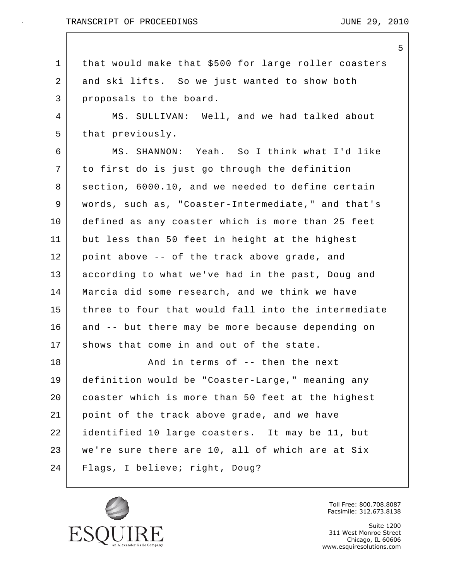5

1 that would make that \$500 for large roller coasters 2 and ski lifts. So we just wanted to show both 3 proposals to the board. 4 MS. SULLIVAN: Well, and we had talked about 5 that previously. 6 MS. SHANNON: Yeah. So I think what I'd like 7 to first do is just go through the definition 8 | section, 6000.10, and we needed to define certain 9 words, such as, "Coaster-Intermediate," and that's 10 defined as any coaster which is more than 25 feet 11 but less than 50 feet in height at the highest 12 point above -- of the track above grade, and 13 according to what we've had in the past, Doug and 14 | Marcia did some research, and we think we have 15 three to four that would fall into the intermediate 16 and -- but there may be more because depending on 17 shows that come in and out of the state. 18 And in terms of -- then the next 19 definition would be "Coaster-Large," meaning any 20 coaster which is more than 50 feet at the highest 21 point of the track above grade, and we have 22 identified 10 large coasters. It may be 11, but 23 | we're sure there are 10, all of which are at Six 24 Flags, I believe; right, Doug?



Toll Free: 800.708.8087 Facsimile: 312.673.8138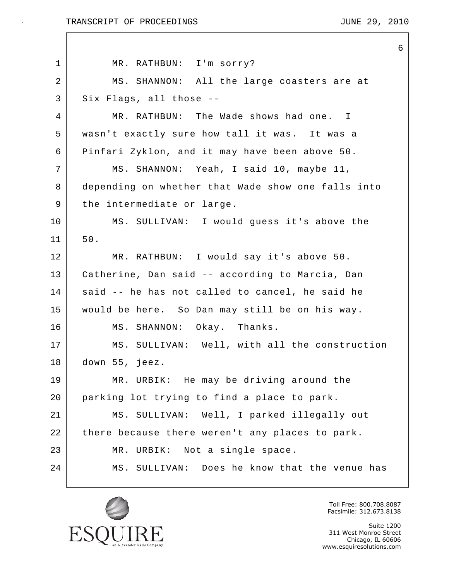$\mathbf{I}$ 

|                | 6                                                  |
|----------------|----------------------------------------------------|
| 1              | MR. RATHBUN: I'm sorry?                            |
| $\overline{a}$ | MS. SHANNON: All the large coasters are at         |
| 3              | Six Flags, all those --                            |
| 4              | MR. RATHBUN: The Wade shows had one. I             |
| 5              | wasn't exactly sure how tall it was. It was a      |
| 6              | Pinfari Zyklon, and it may have been above 50.     |
| 7              | MS. SHANNON: Yeah, I said 10, maybe 11,            |
| 8              | depending on whether that Wade show one falls into |
| 9              | the intermediate or large.                         |
| 10             | MS. SULLIVAN: I would guess it's above the         |
| 11             | $50.$                                              |
| 12             | MR. RATHBUN: I would say it's above 50.            |
| 13             | Catherine, Dan said -- according to Marcia, Dan    |
| 14             | said -- he has not called to cancel, he said he    |
| 15             | would be here. So Dan may still be on his way.     |
| 16             | Okay. Thanks.<br>MS. SHANNON:                      |
| 17             | MS. SULLIVAN: Well, with all the construction      |
| 18             | down 55, jeez.                                     |
| 19             | MR. URBIK: He may be driving around the            |
| 20             | parking lot trying to find a place to park.        |
| 21             | MS. SULLIVAN: Well, I parked illegally out         |
| 22             | there because there weren't any places to park.    |
| 23             | MR. URBIK: Not a single space.                     |
| 24             | MS. SULLIVAN: Does he know that the venue has      |
|                |                                                    |



Toll Free: 800.708.8087 Facsimile: 312.673.8138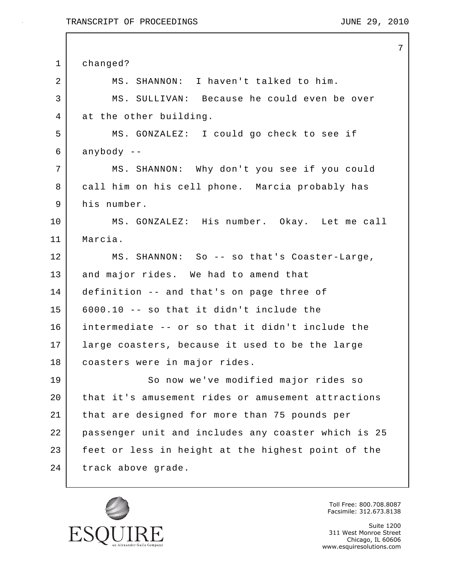$\mathbf I$ 

|                |                                                     | 7 |
|----------------|-----------------------------------------------------|---|
| $\mathbf{1}$   | changed?                                            |   |
| $\overline{2}$ | MS. SHANNON: I haven't talked to him.               |   |
| 3              | MS. SULLIVAN: Because he could even be over         |   |
| $\overline{4}$ | at the other building.                              |   |
| 5              | MS. GONZALEZ: I could go check to see if            |   |
| 6              | anybody --                                          |   |
| 7              | MS. SHANNON: Why don't you see if you could         |   |
| 8              | call him on his cell phone. Marcia probably has     |   |
| 9              | his number.                                         |   |
| 10             | MS. GONZALEZ: His number. Okay. Let me call         |   |
| 11             | Marcia.                                             |   |
| 12             | MS. SHANNON: So -- so that's Coaster-Large,         |   |
| 13             | and major rides. We had to amend that               |   |
| 14             | definition -- and that's on page three of           |   |
| 15             | 6000.10 -- so that it didn't include the            |   |
| 16             | intermediate -- or so that it didn't include the    |   |
| 17             | large coasters, because it used to be the large     |   |
| 18             | coasters were in major rides.                       |   |
| 19             | So now we've modified major rides so                |   |
| 20             | that it's amusement rides or amusement attractions  |   |
| 21             | that are designed for more than 75 pounds per       |   |
| 22             | passenger unit and includes any coaster which is 25 |   |
| 23             | feet or less in height at the highest point of the  |   |
| 24             | track above grade.                                  |   |
|                |                                                     |   |



Toll Free: 800.708.8087 Facsimile: 312.673.8138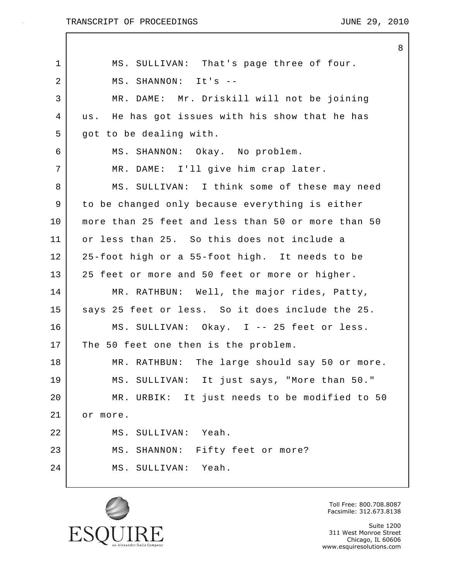8

| $\mathbf 1$    | MS. SULLIVAN: That's page three of four.           |
|----------------|----------------------------------------------------|
| $\overline{2}$ | MS. SHANNON: It's --                               |
| 3              | MR. DAME: Mr. Driskill will not be joining         |
| $\overline{4}$ | us. He has got issues with his show that he has    |
| 5              | got to be dealing with.                            |
| 6              | MS. SHANNON: Okay. No problem.                     |
| 7              | MR. DAME: I'll give him crap later.                |
| 8              | MS. SULLIVAN: I think some of these may need       |
| 9              | to be changed only because everything is either    |
| 10             | more than 25 feet and less than 50 or more than 50 |
| 11             | or less than 25. So this does not include a        |
| 12             | 25-foot high or a 55-foot high. It needs to be     |
| 13             | 25 feet or more and 50 feet or more or higher.     |
| 14             | MR. RATHBUN: Well, the major rides, Patty,         |
| 15             | says 25 feet or less. So it does include the 25.   |
| 16             | MS. SULLIVAN: Okay. I -- 25 feet or less.          |
| 17             | The 50 feet one then is the problem.               |
| 18             | MR. RATHBUN: The large should say 50 or more.      |
| 19             | MS. SULLIVAN: It just says, "More than 50."        |
| 20             | MR. URBIK: It just needs to be modified to 50      |
| 21             | more.<br>оr                                        |
| 22             | MS. SULLIVAN: Yeah.                                |
| 23             | MS. SHANNON: Fifty feet or more?                   |
| 24             | MS. SULLIVAN: Yeah.                                |
|                |                                                    |



Toll Free: 800.708.8087 Facsimile: 312.673.8138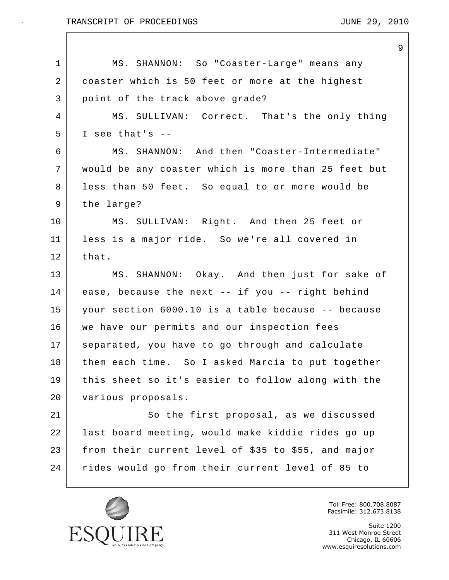$\mathbf I$ 

|             |                                                     | 9 |
|-------------|-----------------------------------------------------|---|
| $\mathbf 1$ | MS. SHANNON: So "Coaster-Large" means any           |   |
| 2           | coaster which is 50 feet or more at the highest     |   |
| 3           | point of the track above grade?                     |   |
| 4           | MS. SULLIVAN: Correct. That's the only thing        |   |
| 5           | I see that's $-$                                    |   |
| 6           | MS. SHANNON: And then "Coaster-Intermediate"        |   |
| 7           | would be any coaster which is more than 25 feet but |   |
| 8           | less than 50 feet. So equal to or more would be     |   |
| 9           | the large?                                          |   |
| $10 \,$     | MS. SULLIVAN: Right. And then 25 feet or            |   |
| 11          | less is a major ride. So we're all covered in       |   |
| 12          | that.                                               |   |
| 13          | MS. SHANNON: Okay. And then just for sake of        |   |
| 14          | ease, because the next -- if you -- right behind    |   |
| 15          | your section 6000.10 is a table because -- because  |   |
| 16          | we have our permits and our inspection fees         |   |
| 17          | separated, you have to go through and calculate     |   |
| 18          | them each time. So I asked Marcia to put together   |   |
| 19          | this sheet so it's easier to follow along with the  |   |
| 20          | various proposals.                                  |   |
| 21          | So the first proposal, as we discussed              |   |
| 22          | last board meeting, would make kiddie rides go up   |   |
| 23          | from their current level of \$35 to \$55, and major |   |
| 24          | rides would go from their current level of 85 to    |   |
|             |                                                     |   |



Toll Free: 800.708.8087 Facsimile: 312.673.8138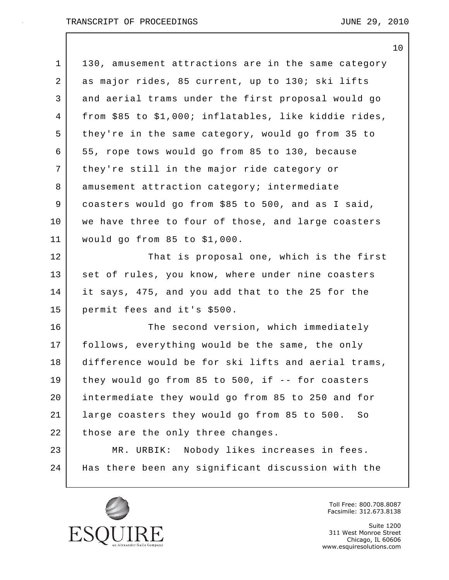|    | 10                                                    |
|----|-------------------------------------------------------|
| 1  | 130, amusement attractions are in the same category   |
| 2  | as major rides, 85 current, up to 130; ski lifts      |
| 3  | and aerial trams under the first proposal would go    |
| 4  | from \$85 to \$1,000; inflatables, like kiddie rides, |
| 5  | they're in the same category, would go from 35 to     |
| 6  | 55, rope tows would go from 85 to 130, because        |
| 7  | they're still in the major ride category or           |
| 8  | amusement attraction category; intermediate           |
| 9  | coasters would go from \$85 to 500, and as I said,    |
| 10 | we have three to four of those, and large coasters    |
| 11 | would go from 85 to \$1,000.                          |
| 12 | That is proposal one, which is the first              |
| 13 | set of rules, you know, where under nine coasters     |
| 14 | it says, 475, and you add that to the 25 for the      |
| 15 | permit fees and it's \$500.                           |
| 16 | The second version, which immediately                 |
| 17 | follows, everything would be the same, the only       |
| 18 | difference would be for ski lifts and aerial trams,   |
| 19 | they would go from 85 to 500, if -- for coasters      |
| 20 | intermediate they would go from 85 to 250 and for     |
| 21 | large coasters they would go from 85 to 500.<br>So    |
| 22 | those are the only three changes.                     |
| 23 | MR. URBIK: Nobody likes increases in fees.            |
| 24 | Has there been any significant discussion with the    |
|    |                                                       |



Toll Free: 800.708.8087 Facsimile: 312.673.8138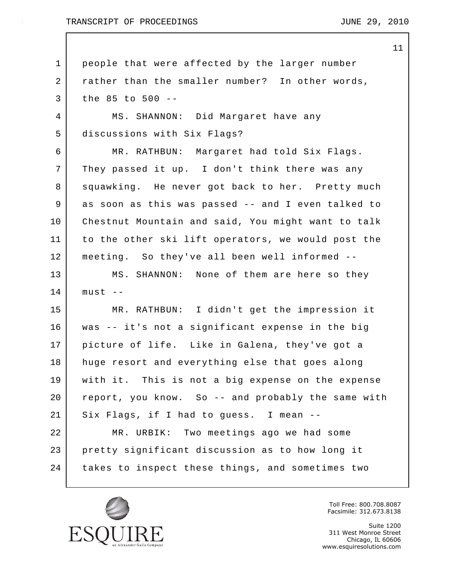#### TRANSCRIPT OF PROCEEDINGS TRANSCRIPT OF  $\overline{29}$ , 2010

1 people that were affected by the larger number 2 rather than the smaller number? In other words, 3 the 85 to 500 -- 4 MS. SHANNON: Did Margaret have any 5 discussions with Six Flags? 6 MR. RATHBUN: Margaret had told Six Flags. 7 They passed it up. I don't think there was any 8 Squawking. He never got back to her. Pretty much 9 as soon as this was passed -- and I even talked to 10 Chestnut Mountain and said, You might want to talk 11 to the other ski lift operators, we would post the 12 meeting. So they've all been well informed -- 13 MS. SHANNON: None of them are here so they  $14$  must  $-$ 15 MR. RATHBUN: I didn't get the impression it 16 was -- it's not a significant expense in the big 17 picture of life. Like in Galena, they've got a 18 huge resort and everything else that goes along 19 with it. This is not a big expense on the expense 20 report, you know. So -- and probably the same with 21 Six Flags, if I had to guess. I mean -- 22 MR. URBIK: Two meetings ago we had some 23 pretty significant discussion as to how long it 24 takes to inspect these things, and sometimes two



Toll Free: 800.708.8087 Facsimile: 312.673.8138

Suite 1200 311 West Monroe Street Chicago, IL 60606 www.esquiresolutions.com

11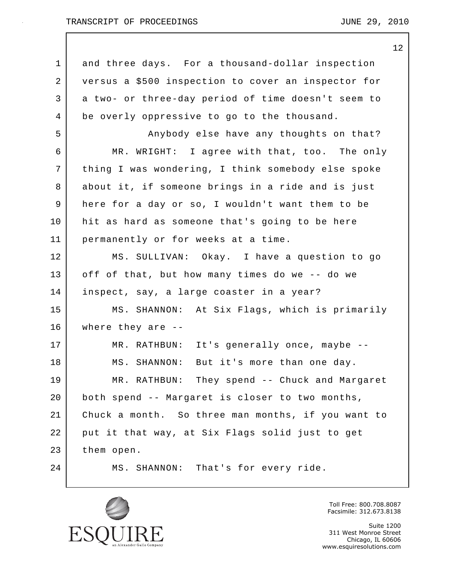#### TRANSCRIPT OF PROCEEDINGS TRANSCRIPT OF  $\overline{29}$ , 2010

12 1 and three days. For a thousand-dollar inspection 2 versus a \$500 inspection to cover an inspector for 3 a two- or three-day period of time doesn't seem to 4 be overly oppressive to go to the thousand. 5 Anybody else have any thoughts on that? 6 MR. WRIGHT: I agree with that, too. The only 7 | thing I was wondering, I think somebody else spoke 8 about it, if someone brings in a ride and is just 9 here for a day or so, I wouldn't want them to be 10 hit as hard as someone that's going to be here 11 permanently or for weeks at a time. 12 MS. SULLIVAN: Okay. I have a question to go 13 off of that, but how many times do we -- do we 14 inspect, say, a large coaster in a year? 15 MS. SHANNON: At Six Flags, which is primarily 16 where they are -- 17 MR. RATHBUN: It's generally once, maybe -- 18 | MS. SHANNON: But it's more than one day. 19 MR. RATHBUN: They spend -- Chuck and Margaret 20 both spend -- Margaret is closer to two months, 21 Chuck a month. So three man months, if you want to 22 put it that way, at Six Flags solid just to get 23 them open. 24 MS. SHANNON: That's for every ride.



Toll Free: 800.708.8087 Facsimile: 312.673.8138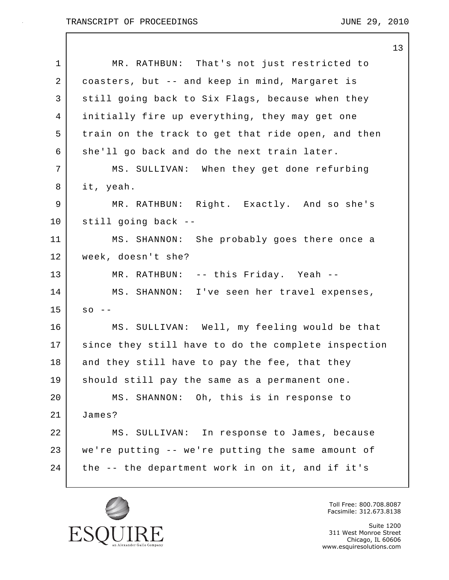|             | 13                                                  |
|-------------|-----------------------------------------------------|
| $\mathbf 1$ | MR. RATHBUN: That's not just restricted to          |
| 2           | coasters, but -- and keep in mind, Margaret is      |
| 3           | still going back to Six Flags, because when they    |
| 4           | initially fire up everything, they may get one      |
| 5           | train on the track to get that ride open, and then  |
| 6           | she'll go back and do the next train later.         |
| 7           | MS. SULLIVAN: When they get done refurbing          |
| 8           | it, yeah.                                           |
| 9           | MR. RATHBUN: Right. Exactly. And so she's           |
| 10          | still going back --                                 |
| 11          | MS. SHANNON: She probably goes there once a         |
| 12          | week, doesn't she?                                  |
| 13          | MR. RATHBUN: -- this Friday. Yeah --                |
| 14          | MS. SHANNON: I've seen her travel expenses,         |
| 15          | SO                                                  |
| 16          | MS. SULLIVAN: Well, my feeling would be that        |
| 17          | since they still have to do the complete inspection |
| 18          | and they still have to pay the fee, that they       |
| 19          | should still pay the same as a permanent one.       |
| 20          | MS. SHANNON: Oh, this is in response to             |
| 21          | James?                                              |
| 22          | MS. SULLIVAN: In response to James, because         |
| 23          | we're putting -- we're putting the same amount of   |
| 24          | the -- the department work in on it, and if it's    |
|             |                                                     |



Toll Free: 800.708.8087 Facsimile: 312.673.8138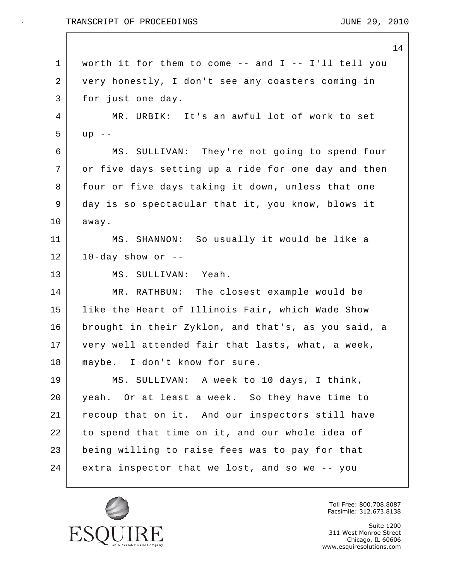14 1 worth it for them to come -- and I -- I'll tell you 2 very honestly, I don't see any coasters coming in 3 for just one day. 4 MR. URBIK: It's an awful lot of work to set 5 up -- 6 MS. SULLIVAN: They're not going to spend four 7 or five days setting up a ride for one day and then 8 four or five days taking it down, unless that one 9 day is so spectacular that it, you know, blows it 10 away. 11 MS. SHANNON: So usually it would be like a  $12$  10-day show or  $-$ 13 MS. SULLIVAN: Yeah. 14 MR. RATHBUN: The closest example would be 15 like the Heart of Illinois Fair, which Wade Show 16 brought in their Zyklon, and that's, as you said, a 17 very well attended fair that lasts, what, a week, 18 | maybe. I don't know for sure. 19 MS. SULLIVAN: A week to 10 days, I think, 20 yeah. Or at least a week. So they have time to 21 recoup that on it. And our inspectors still have 22 to spend that time on it, and our whole idea of 23 being willing to raise fees was to pay for that 24 extra inspector that we lost, and so we -- you



Toll Free: 800.708.8087 Facsimile: 312.673.8138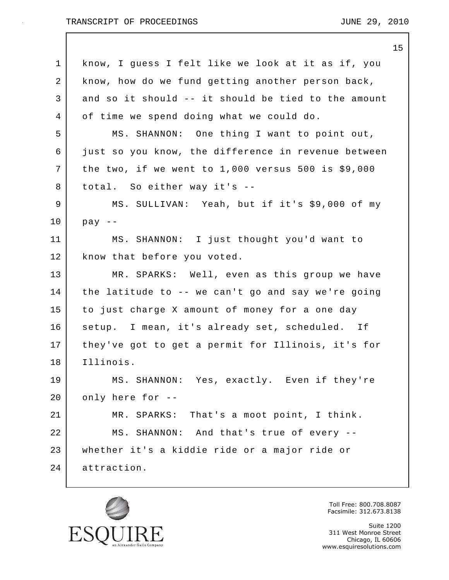|    | 15                                                   |
|----|------------------------------------------------------|
| 1  | know, I guess I felt like we look at it as if, you   |
| 2  | know, how do we fund getting another person back,    |
| 3  | and so it should -- it should be tied to the amount  |
| 4  | of time we spend doing what we could do.             |
| 5  | MS. SHANNON: One thing I want to point out,          |
| 6  | just so you know, the difference in revenue between  |
| 7  | the two, if we went to $1,000$ versus 500 is \$9,000 |
| 8  | total. So either way it's --                         |
| 9  | MS. SULLIVAN: Yeah, but if it's \$9,000 of my        |
| 10 | $pay$ --                                             |
| 11 | MS. SHANNON: I just thought you'd want to            |
| 12 | know that before you voted.                          |
| 13 | MR. SPARKS: Well, even as this group we have         |
| 14 | the latitude to -- we can't go and say we're going   |
| 15 | to just charge X amount of money for a one day       |
| 16 | setup. I mean, it's already set, scheduled. If       |
| 17 | they've got to get a permit for Illinois, it's for   |
| 18 | Illinois.                                            |
| 19 | MS. SHANNON: Yes, exactly. Even if they're           |
| 20 | only here for --                                     |
| 21 | MR. SPARKS: That's a moot point, I think.            |
| 22 | MS. SHANNON: And that's true of every --             |
| 23 | whether it's a kiddie ride or a major ride or        |
| 24 | attraction.                                          |



Toll Free: 800.708.8087 Facsimile: 312.673.8138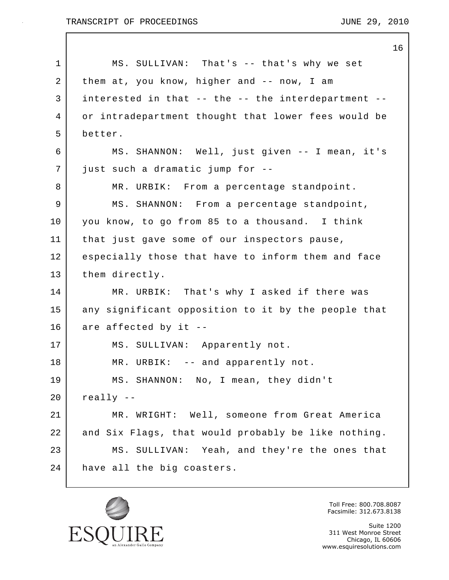|              | 16                                                  |
|--------------|-----------------------------------------------------|
| $\mathbf{1}$ | MS. SULLIVAN: That's -- that's why we set           |
| 2            | them at, you know, higher and -- now, I am          |
| 3            | interested in that -- the -- the interdepartment -- |
| 4            | or intradepartment thought that lower fees would be |
| 5            | better.                                             |
| 6            | MS. SHANNON: Well, just given -- I mean, it's       |
| 7            | just such a dramatic jump for --                    |
| 8            | MR. URBIK: From a percentage standpoint.            |
| 9            | MS. SHANNON: From a percentage standpoint,          |
| 10           | you know, to go from 85 to a thousand. I think      |
| 11           | that just gave some of our inspectors pause,        |
| 12           | especially those that have to inform them and face  |
| 13           | them directly.                                      |
| 14           | MR. URBIK: That's why I asked if there was          |
| 15           | any significant opposition to it by the people that |
| 16           | are affected by it --                               |
| 17           | MS. SULLIVAN: Apparently not.                       |
| 18           | MR. URBIK: -- and apparently not.                   |
| 19           | MS. SHANNON: No, I mean, they didn't                |
| 20           | $really$ --                                         |
| 21           | MR. WRIGHT: Well, someone from Great America        |
| 22           | and Six Flags, that would probably be like nothing. |
| 23           | MS. SULLIVAN: Yeah, and they're the ones that       |
| 24           | have all the big coasters.                          |
|              |                                                     |



Toll Free: 800.708.8087 Facsimile: 312.673.8138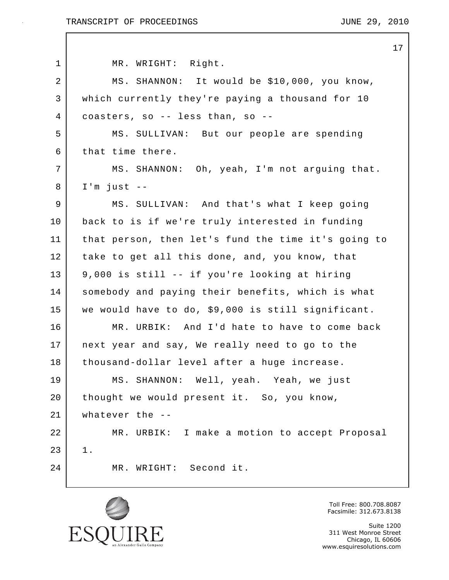$\mathbf{I}$ 

|                | 17                                                  |
|----------------|-----------------------------------------------------|
| $\mathbf 1$    | MR. WRIGHT: Right.                                  |
| $\overline{a}$ | MS. SHANNON: It would be \$10,000, you know,        |
| 3              | which currently they're paying a thousand for 10    |
| 4              | coasters, so -- less than, so --                    |
| 5              | MS. SULLIVAN: But our people are spending           |
| 6              | that time there.                                    |
| 7              | MS. SHANNON: Oh, yeah, I'm not arguing that.        |
| 8              | $I'm$ just $-$                                      |
| 9              | MS. SULLIVAN: And that's what I keep going          |
| 10             | back to is if we're truly interested in funding     |
| 11             | that person, then let's fund the time it's going to |
| 12             | take to get all this done, and, you know, that      |
| 13             | 9,000 is still -- if you're looking at hiring       |
| 14             | somebody and paying their benefits, which is what   |
| 15             | we would have to do, \$9,000 is still significant.  |
| 16             | MR. URBIK: And I'd hate to have to come back        |
| 17             | next year and say, We really need to go to the      |
| 18             | thousand-dollar level after a huge increase.        |
| 19             | MS. SHANNON: Well, yeah. Yeah, we just              |
| 20             | thought we would present it. So, you know,          |
| 21             | whatever the $-$ -                                  |
| 22             | MR. URBIK: I make a motion to accept Proposal       |
| 23             | $1$ .                                               |
| 24             | MR. WRIGHT: Second it.                              |
|                |                                                     |



Toll Free: 800.708.8087 Facsimile: 312.673.8138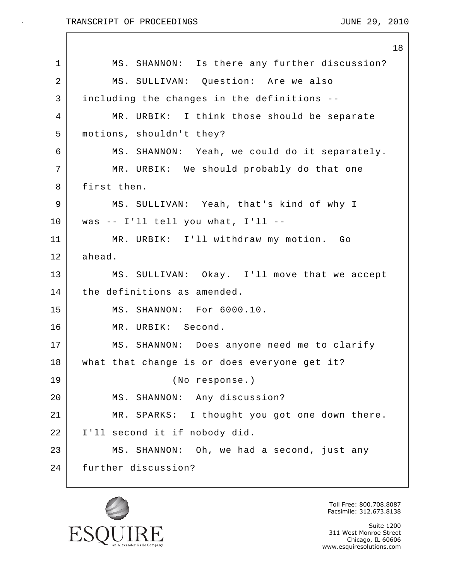|             | 18                                            |
|-------------|-----------------------------------------------|
| $\mathbf 1$ | MS. SHANNON: Is there any further discussion? |
| 2           | MS. SULLIVAN: Question: Are we also           |
| 3           | including the changes in the definitions --   |
| 4           | MR. URBIK: I think those should be separate   |
| 5           | motions, shouldn't they?                      |
| 6           | MS. SHANNON: Yeah, we could do it separately. |
| 7           | MR. URBIK: We should probably do that one     |
| 8           | first then.                                   |
| 9           | MS. SULLIVAN: Yeah, that's kind of why I      |
| 10          | was -- I'll tell you what, I'll --            |
| 11          | MR. URBIK: I'll withdraw my motion. Go        |
| 12          | ahead.                                        |
| 13          | MS. SULLIVAN: Okay. I'll move that we accept  |
| 14          | the definitions as amended.                   |
| 15          | MS. SHANNON: For 6000.10.                     |
| 16          | MR. URBIK: Second.                            |
| 17          | MS. SHANNON: Does anyone need me to clarify   |
| 18          | what that change is or does everyone get it?  |
| 19          | (No response.)                                |
| 20          | MS. SHANNON: Any discussion?                  |
| 21          | MR. SPARKS: I thought you got one down there. |
| 22          | I'll second it if nobody did.                 |
| 23          | MS. SHANNON: Oh, we had a second, just any    |
| 24          | further discussion?                           |
|             |                                               |



Toll Free: 800.708.8087 Facsimile: 312.673.8138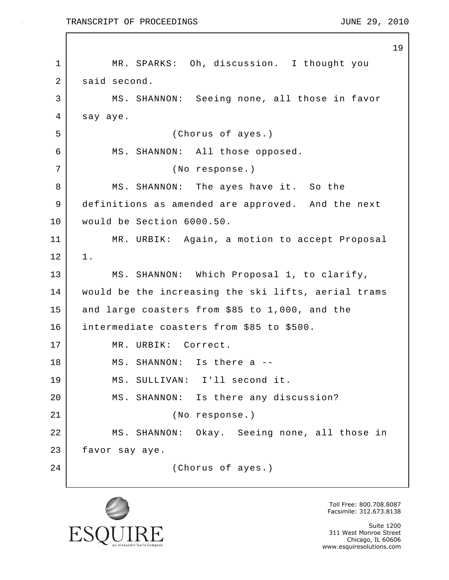19 1 | MR. SPARKS: Oh, discussion. I thought you 2 said second. 3 MS. SHANNON: Seeing none, all those in favor 4 say aye. 5 (Chorus of ayes.) 6 MS. SHANNON: All those opposed. 7 (No response.) 8 | MS. SHANNON: The ayes have it. So the 9 definitions as amended are approved. And the next 10 would be Section 6000.50. 11 MR. URBIK: Again, a motion to accept Proposal  $12$  |  $1$ . 13 MS. SHANNON: Which Proposal 1, to clarify, 14 would be the increasing the ski lifts, aerial trams 15 and large coasters from \$85 to 1,000, and the 16 intermediate coasters from \$85 to \$500. 17 | MR. URBIK: Correct. 18 MS. SHANNON: Is there a --19 MS. SULLIVAN: I'll second it. 20 MS. SHANNON: Is there any discussion? 21 (No response.) 22 MS. SHANNON: Okay. Seeing none, all those in 23 favor say aye. 24 (Chorus of ayes.)



Toll Free: 800.708.8087 Facsimile: 312.673.8138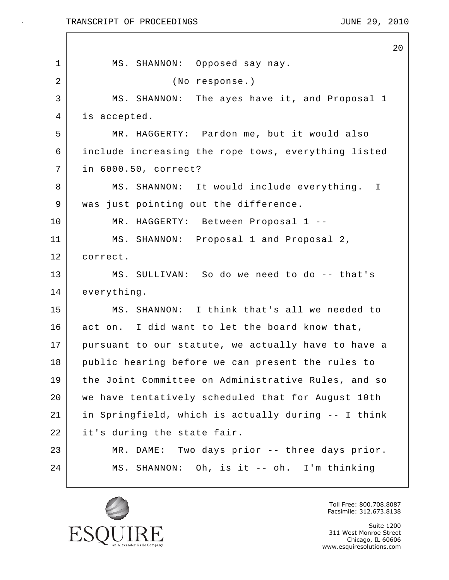$\mathbf{I}$ 

|                | 20                                                  |
|----------------|-----------------------------------------------------|
| 1              | MS. SHANNON: Opposed say nay.                       |
| $\overline{a}$ | (No response.)                                      |
| 3              | MS. SHANNON: The ayes have it, and Proposal 1       |
| 4              | is accepted.                                        |
| 5              | MR. HAGGERTY: Pardon me, but it would also          |
| 6              | include increasing the rope tows, everything listed |
| 7              | in 6000.50, correct?                                |
| 8              | MS. SHANNON: It would include everything. I         |
| 9              | was just pointing out the difference.               |
| 10             | MR. HAGGERTY: Between Proposal 1 --                 |
| 11             | MS. SHANNON: Proposal 1 and Proposal 2,             |
| 12             | correct.                                            |
| 13             | MS. SULLIVAN: So do we need to do -- that's         |
| 14             | everything.                                         |
| 15             | MS. SHANNON: I think that's all we needed to        |
| 16             | act on. I did want to let the board know that,      |
| 17             | pursuant to our statute, we actually have to have a |
| 18             | public hearing before we can present the rules to   |
| 19             | the Joint Committee on Administrative Rules, and so |
| 20             | we have tentatively scheduled that for August 10th  |
| 21             | in Springfield, which is actually during -- I think |
| 22             | it's during the state fair.                         |
| 23             | MR. DAME: Two days prior -- three days prior.       |
| 24             | MS. SHANNON: Oh, is it -- oh. I'm thinking          |
|                |                                                     |



Toll Free: 800.708.8087 Facsimile: 312.673.8138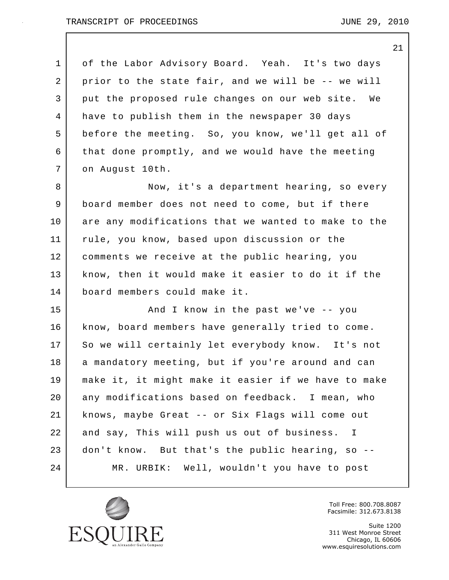21

1 of the Labor Advisory Board. Yeah. It's two days 2 prior to the state fair, and we will be -- we will 3 put the proposed rule changes on our web site. We 4 have to publish them in the newspaper 30 days 5 before the meeting. So, you know, we'll get all of 6 that done promptly, and we would have the meeting 7 on August 10th. 8 Now, it's a department hearing, so every 9 board member does not need to come, but if there 10 are any modifications that we wanted to make to the 11 rule, you know, based upon discussion or the 12 comments we receive at the public hearing, you 13 know, then it would make it easier to do it if the 14 board members could make it. 15 And I know in the past we've -- you 16 know, board members have generally tried to come. 17 So we will certainly let everybody know. It's not 18 | a mandatory meeting, but if you're around and can 19 make it, it might make it easier if we have to make 20 any modifications based on feedback. I mean, who 21 knows, maybe Great -- or Six Flags will come out 22 and say, This will push us out of business. I 23 don't know. But that's the public hearing, so --

24 MR. URBIK: Well, wouldn't you have to post



Toll Free: 800.708.8087 Facsimile: 312.673.8138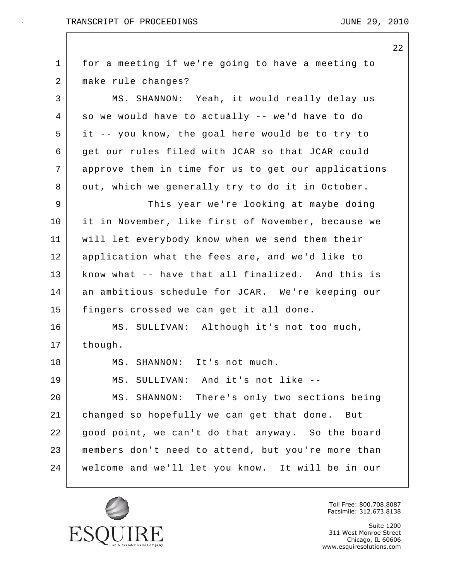22

1 for a meeting if we're going to have a meeting to 2 make rule changes? 3 MS. SHANNON: Yeah, it would really delay us 4 so we would have to actually -- we'd have to do 5 it -- you know, the goal here would be to try to 6 get our rules filed with JCAR so that JCAR could 7 approve them in time for us to get our applications 8 out, which we generally try to do it in October. 9 This year we're looking at maybe doing 10 it in November, like first of November, because we 11 will let everybody know when we send them their 12 application what the fees are, and we'd like to 13 know what -- have that all finalized. And this is 14 an ambitious schedule for JCAR. We're keeping our 15 | fingers crossed we can get it all done. 16 MS. SULLIVAN: Although it's not too much, 17 | though. 18 MS. SHANNON: It's not much. 19 MS. SULLIVAN: And it's not like -- 20 MS. SHANNON: There's only two sections being 21 changed so hopefully we can get that done. But 22 good point, we can't do that anyway. So the board 23 members don't need to attend, but you're more than 24 welcome and we'll let you know. It will be in our



Toll Free: 800.708.8087 Facsimile: 312.673.8138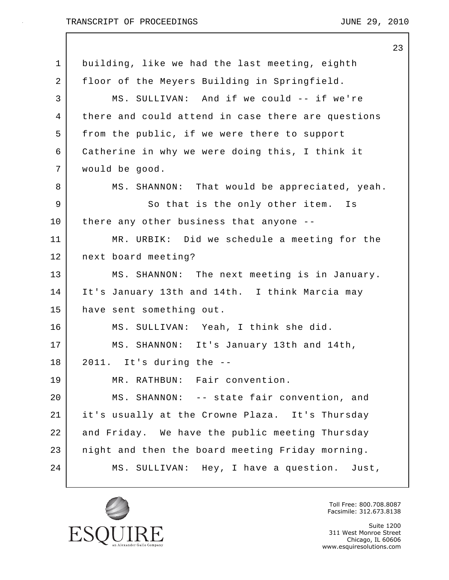|    |                                                    | 23 |
|----|----------------------------------------------------|----|
| 1  | building, like we had the last meeting, eighth     |    |
| 2  | floor of the Meyers Building in Springfield.       |    |
| 3  | MS. SULLIVAN: And if we could -- if we're          |    |
| 4  | there and could attend in case there are questions |    |
| 5  | from the public, if we were there to support       |    |
| 6  | Catherine in why we were doing this, I think it    |    |
| 7  | would be good.                                     |    |
| 8  | MS. SHANNON: That would be appreciated, yeah.      |    |
| 9  | So that is the only other item. Is                 |    |
| 10 | there any other business that anyone --            |    |
| 11 | MR. URBIK: Did we schedule a meeting for the       |    |
| 12 | next board meeting?                                |    |
| 13 | MS. SHANNON: The next meeting is in January.       |    |
| 14 | It's January 13th and 14th. I think Marcia may     |    |
| 15 | have sent something out.                           |    |
| 16 | MS. SULLIVAN: Yeah, I think she did.               |    |
| 17 | MS. SHANNON: It's January 13th and 14th,           |    |
| 18 | 2011. It's during the --                           |    |
| 19 | MR. RATHBUN: Fair convention.                      |    |
| 20 | MS. SHANNON: -- state fair convention, and         |    |
| 21 | it's usually at the Crowne Plaza. It's Thursday    |    |
| 22 | and Friday. We have the public meeting Thursday    |    |
| 23 | night and then the board meeting Friday morning.   |    |
| 24 | MS. SULLIVAN: Hey, I have a question. Just,        |    |
|    |                                                    |    |



Toll Free: 800.708.8087 Facsimile: 312.673.8138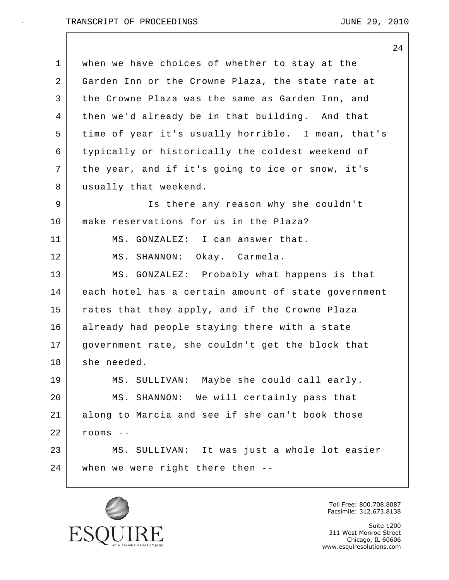|                | 24                                                  |
|----------------|-----------------------------------------------------|
| $\mathbf 1$    | when we have choices of whether to stay at the      |
| 2              | Garden Inn or the Crowne Plaza, the state rate at   |
| 3              | the Crowne Plaza was the same as Garden Inn, and    |
| $\overline{4}$ | then we'd already be in that building. And that     |
| 5              | time of year it's usually horrible. I mean, that's  |
| 6              | typically or historically the coldest weekend of    |
| 7              | the year, and if it's going to ice or snow, it's    |
| 8              | usually that weekend.                               |
| 9              | Is there any reason why she couldn't                |
| 10             | make reservations for us in the Plaza?              |
| 11             | MS. GONZALEZ: I can answer that.                    |
| 12             | Okay. Carmela.<br>MS. SHANNON:                      |
| 13             | MS. GONZALEZ: Probably what happens is that         |
| 14             | each hotel has a certain amount of state government |
| 15             | rates that they apply, and if the Crowne Plaza      |
| 16             | already had people staying there with a state       |
| 17             | government rate, she couldn't get the block that    |
| 18             | she needed.                                         |
| 19             | MS. SULLIVAN: Maybe she could call early.           |
| 20             | MS. SHANNON: We will certainly pass that            |
| 21             | along to Marcia and see if she can't book those     |
| 22             | $r$ ooms --                                         |
| 23             | MS. SULLIVAN: It was just a whole lot easier        |
| 24             | when we were right there then --                    |
|                |                                                     |



Toll Free: 800.708.8087 Facsimile: 312.673.8138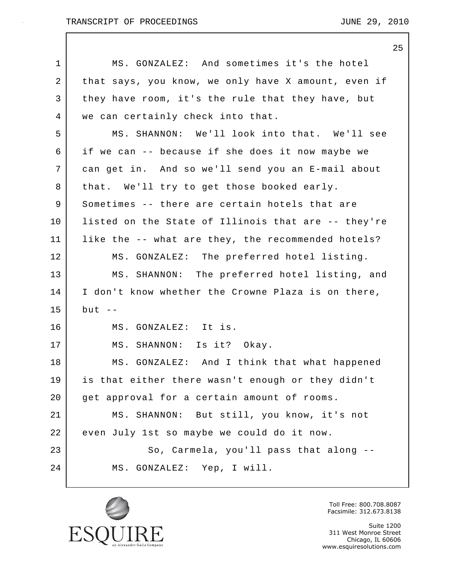|    | 25                                                  |
|----|-----------------------------------------------------|
| 1  | MS. GONZALEZ: And sometimes it's the hotel          |
| 2  | that says, you know, we only have X amount, even if |
| 3  | they have room, it's the rule that they have, but   |
| 4  | we can certainly check into that.                   |
| 5  | MS. SHANNON: We'll look into that. We'll see        |
| 6  | if we can -- because if she does it now maybe we    |
| 7  | can get in. And so we'll send you an E-mail about   |
| 8  | that. We'll try to get those booked early.          |
| 9  | Sometimes -- there are certain hotels that are      |
| 10 | listed on the State of Illinois that are -- they're |
| 11 | like the -- what are they, the recommended hotels?  |
| 12 | MS. GONZALEZ: The preferred hotel listing.          |
| 13 | MS. SHANNON: The preferred hotel listing, and       |
| 14 | I don't know whether the Crowne Plaza is on there,  |
| 15 | but $-$                                             |
| 16 | MS. GONZALEZ: It is.                                |
| 17 | MS. SHANNON: Is it? Okay.                           |
| 18 | MS. GONZALEZ: And I think that what happened        |
| 19 | is that either there wasn't enough or they didn't   |
| 20 | get approval for a certain amount of rooms.         |
| 21 | MS. SHANNON: But still, you know, it's not          |
| 22 | even July 1st so maybe we could do it now.          |
| 23 | So, Carmela, you'll pass that along --              |
| 24 | MS. GONZALEZ: Yep, I will.                          |
|    |                                                     |



Toll Free: 800.708.8087 Facsimile: 312.673.8138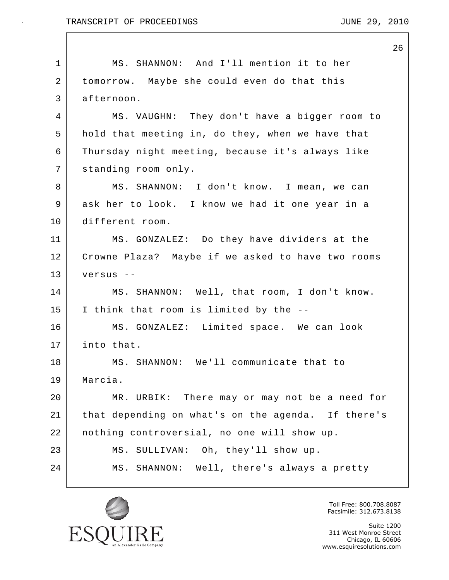Г

|             | 26                                                 |
|-------------|----------------------------------------------------|
| $\mathbf 1$ | MS. SHANNON: And I'll mention it to her            |
| 2           | tomorrow. Maybe she could even do that this        |
| 3           | afternoon.                                         |
| 4           | MS. VAUGHN: They don't have a bigger room to       |
| 5           | hold that meeting in, do they, when we have that   |
| 6           | Thursday night meeting, because it's always like   |
| 7           | standing room only.                                |
| 8           | MS. SHANNON: I don't know. I mean, we can          |
| 9           | ask her to look. I know we had it one year in a    |
| 10          | different room.                                    |
| 11          | MS. GONZALEZ: Do they have dividers at the         |
| 12          | Crowne Plaza? Maybe if we asked to have two rooms  |
| 13          | versus --                                          |
| 14          | MS. SHANNON: Well, that room, I don't know.        |
| 15          | I think that room is limited by the --             |
| 16          | MS. GONZALEZ: Limited space. We can look           |
| 17          | into that.                                         |
| 18          | MS. SHANNON: We'll communicate that to             |
| 19          | Marcia.                                            |
| 20          | MR. URBIK: There may or may not be a need for      |
| 21          | that depending on what's on the agenda. If there's |
| 22          | nothing controversial, no one will show up.        |
| 23          | MS. SULLIVAN: Oh, they'll show up.                 |
| 24          | MS. SHANNON: Well, there's always a pretty         |
|             |                                                    |



Toll Free: 800.708.8087 Facsimile: 312.673.8138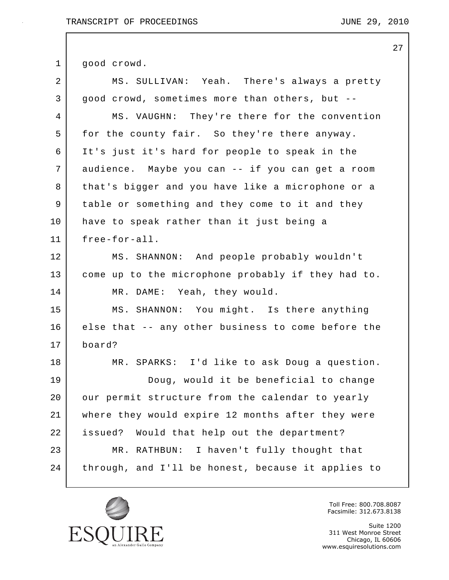27

1 good crowd. 2 MS. SULLIVAN: Yeah. There's always a pretty 3 good crowd, sometimes more than others, but -- 4 MS. VAUGHN: They're there for the convention 5 for the county fair. So they're there anyway. 6 It's just it's hard for people to speak in the 7 audience. Maybe you can -- if you can get a room 8 | that's bigger and you have like a microphone or a 9 table or something and they come to it and they 10 have to speak rather than it just being a 11 free-for-all. 12 MS. SHANNON: And people probably wouldn't 13 come up to the microphone probably if they had to. 14 MR. DAME: Yeah, they would. 15 MS. SHANNON: You might. Is there anything 16 else that -- any other business to come before the 17 board? 18 MR. SPARKS: I'd like to ask Doug a question. 19 Doug, would it be beneficial to change 20 our permit structure from the calendar to yearly 21 where they would expire 12 months after they were 22 issued? Would that help out the department? 23 MR. RATHBUN: I haven't fully thought that 24 through, and I'll be honest, because it applies to



Toll Free: 800.708.8087 Facsimile: 312.673.8138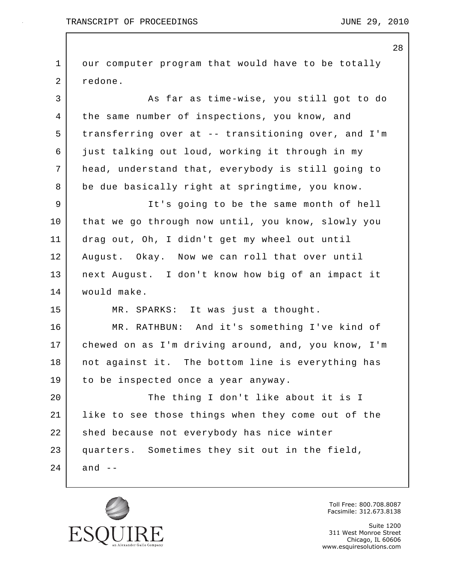TRANSCRIPT OF PROCEEDINGS TRANSCRIPT OF  $\overline{29}$ , 2010

28 1 our computer program that would have to be totally 2 redone. 3 As far as time-wise, you still got to do 4 the same number of inspections, you know, and 5 transferring over at -- transitioning over, and I'm 6 just talking out loud, working it through in my 7 head, understand that, everybody is still going to 8 be due basically right at springtime, you know. 9 It's going to be the same month of hell 10 that we go through now until, you know, slowly you 11 drag out, Oh, I didn't get my wheel out until 12 August. Okay. Now we can roll that over until 13 next August. I don't know how big of an impact it 14 would make. 15 MR. SPARKS: It was just a thought. 16 MR. RATHBUN: And it's something I've kind of 17 chewed on as I'm driving around, and, you know, I'm 18 not against it. The bottom line is everything has 19 to be inspected once a year anyway. 20 The thing I don't like about it is I 21 like to see those things when they come out of the 22 shed because not everybody has nice winter 23 quarters. Sometimes they sit out in the field,  $24$  and  $-$ 



Toll Free: 800.708.8087 Facsimile: 312.673.8138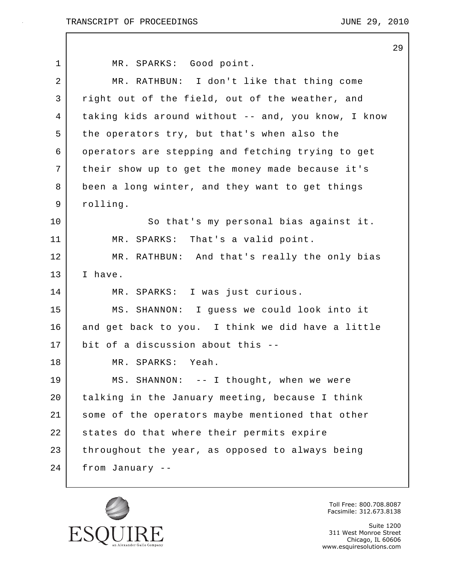|             |                                                     | 29 |
|-------------|-----------------------------------------------------|----|
| $\mathbf 1$ | MR. SPARKS: Good point.                             |    |
| 2           | MR. RATHBUN: I don't like that thing come           |    |
| 3           | right out of the field, out of the weather, and     |    |
| 4           | taking kids around without -- and, you know, I know |    |
| 5           | the operators try, but that's when also the         |    |
| 6           | operators are stepping and fetching trying to get   |    |
| 7           | their show up to get the money made because it's    |    |
| 8           | been a long winter, and they want to get things     |    |
| 9           | rolling.                                            |    |
| $10 \,$     | So that's my personal bias against it.              |    |
| 11          | MR. SPARKS: That's a valid point.                   |    |
| 12          | MR. RATHBUN: And that's really the only bias        |    |
| 13          | I have.                                             |    |
| 14          | MR. SPARKS: I was just curious.                     |    |
| 15          | MS. SHANNON: I guess we could look into it          |    |
| 16          | and get back to you. I think we did have a little   |    |
| 17          | bit of a discussion about this --                   |    |
| 18          | MR. SPARKS: Yeah.                                   |    |
| 19          | MS. SHANNON: -- I thought, when we were             |    |
| 20          | talking in the January meeting, because I think     |    |
| 21          | some of the operators maybe mentioned that other    |    |
| 22          | states do that where their permits expire           |    |
| 23          | throughout the year, as opposed to always being     |    |
| 24          | from January --                                     |    |



Toll Free: 800.708.8087 Facsimile: 312.673.8138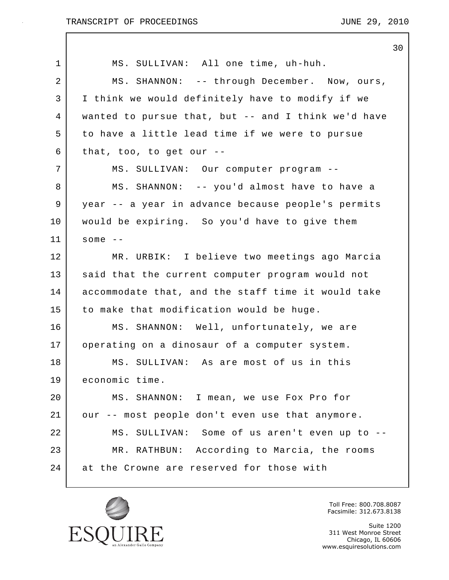|    | 30                                                  |
|----|-----------------------------------------------------|
| 1  | MS. SULLIVAN: All one time, uh-huh.                 |
| 2  | MS. SHANNON: -- through December. Now, ours,        |
| 3  | I think we would definitely have to modify if we    |
| 4  | wanted to pursue that, but -- and I think we'd have |
| 5  | to have a little lead time if we were to pursue     |
| 6  | that, too, to get our $-$ -                         |
| 7  | MS. SULLIVAN: Our computer program --               |
| 8  | MS. SHANNON: -- you'd almost have to have a         |
| 9  | year -- a year in advance because people's permits  |
| 10 | would be expiring. So you'd have to give them       |
| 11 | some $--$                                           |
| 12 | MR. URBIK: I believe two meetings ago Marcia        |
| 13 | said that the current computer program would not    |
| 14 | accommodate that, and the staff time it would take  |
| 15 | to make that modification would be huge.            |
| 16 | MS. SHANNON: Well, unfortunately, we are            |
| 17 | operating on a dinosaur of a computer system.       |
| 18 | MS. SULLIVAN: As are most of us in this             |
| 19 | economic time.                                      |
| 20 | MS. SHANNON: I mean, we use Fox Pro for             |
| 21 | our -- most people don't even use that anymore.     |
| 22 | MS. SULLIVAN: Some of us aren't even up to --       |
| 23 | MR. RATHBUN: According to Marcia, the rooms         |
| 24 | at the Crowne are reserved for those with           |
|    |                                                     |



Toll Free: 800.708.8087 Facsimile: 312.673.8138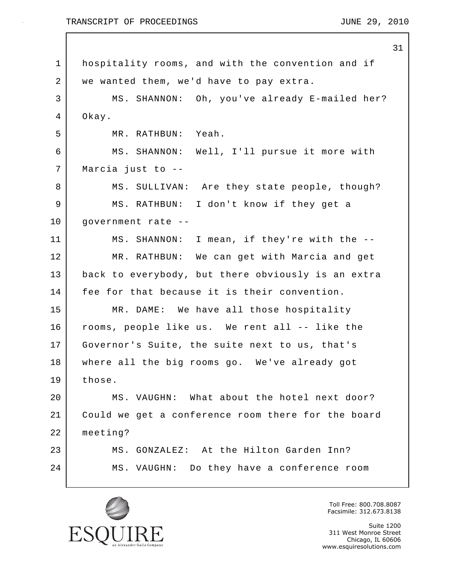#### TRANSCRIPT OF PROCEEDINGS TRANSCRIPT OF  $\overline{29}$ , 2010

31

1 hospitality rooms, and with the convention and if 2 | we wanted them, we'd have to pay extra. 3 | MS. SHANNON: Oh, you've already E-mailed her? 4 Okay. 5 MR. RATHBUN: Yeah. 6 MS. SHANNON: Well, I'll pursue it more with 7 Marcia just to -- 8 MS. SULLIVAN: Are they state people, though? 9 MS. RATHBUN: I don't know if they get a 10 government rate -- 11 MS. SHANNON: I mean, if they're with the -- 12 MR. RATHBUN: We can get with Marcia and get 13 back to everybody, but there obviously is an extra 14 fee for that because it is their convention. 15 MR. DAME: We have all those hospitality 16 rooms, people like us. We rent all -- like the 17 Governor's Suite, the suite next to us, that's 18 where all the big rooms go. We've already got 19 those. 20 MS. VAUGHN: What about the hotel next door? 21 Could we get a conference room there for the board 22 meeting? 23 MS. GONZALEZ: At the Hilton Garden Inn? 24 MS. VAUGHN: Do they have a conference room



Toll Free: 800.708.8087 Facsimile: 312.673.8138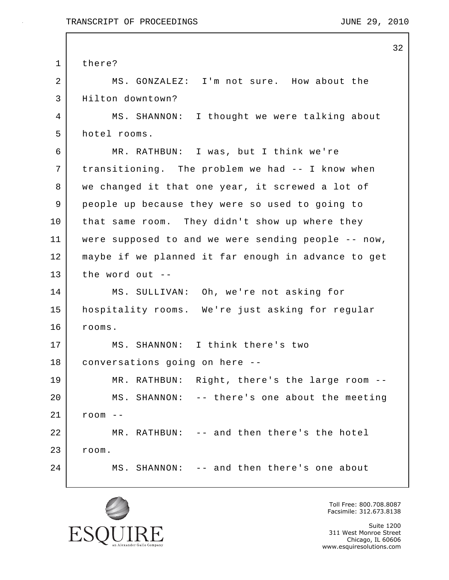|             | 32                                                  |
|-------------|-----------------------------------------------------|
| $\mathbf 1$ | there?                                              |
| 2           | MS. GONZALEZ: I'm not sure. How about the           |
| 3           | Hilton downtown?                                    |
| 4           | MS. SHANNON: I thought we were talking about        |
| 5           | hotel rooms.                                        |
| 6           | MR. RATHBUN: I was, but I think we're               |
| 7           | transitioning. The problem we had -- I know when    |
| 8           | we changed it that one year, it screwed a lot of    |
| $\mathsf 9$ | people up because they were so used to going to     |
| 10          | that same room. They didn't show up where they      |
| 11          | were supposed to and we were sending people -- now, |
| 12          | maybe if we planned it far enough in advance to get |
| 13          | the word out $-$                                    |
| 14          | MS. SULLIVAN: Oh, we're not asking for              |
| 15          | hospitality rooms. We're just asking for regular    |
| 16          | rooms.                                              |
| 17          | MS. SHANNON: I think there's two                    |
| 18          | conversations going on here --                      |
| 19          | MR. RATHBUN: Right, there's the large room --       |
| 20          | MS. SHANNON: -- there's one about the meeting       |
| 21          | $r$ oom --                                          |
| 22          | MR. RATHBUN: -- and then there's the hotel          |
| 23          | room.                                               |
| 24          | MS. SHANNON: -- and then there's one about          |
|             |                                                     |



Toll Free: 800.708.8087 Facsimile: 312.673.8138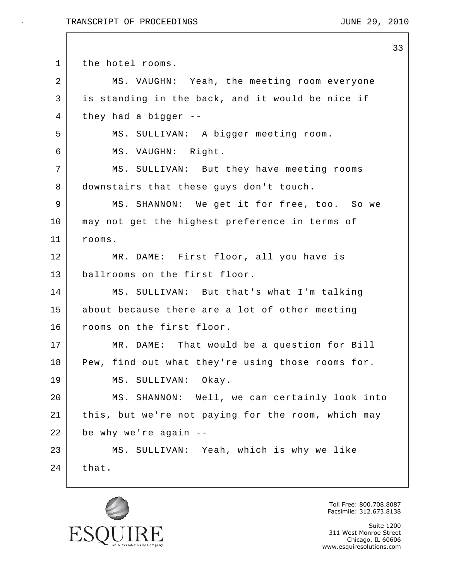```
33
1 the hotel rooms.
2 MS. VAUGHN: Yeah, the meeting room everyone
3 is standing in the back, and it would be nice if
4 they had a bigger --
5 MS. SULLIVAN: A bigger meeting room.
6 MS. VAUGHN: Right.
7 MS. SULLIVAN: But they have meeting rooms
8 downstairs that these guys don't touch.
9 | MS. SHANNON: We get it for free, too. So we
10 may not get the highest preference in terms of
11 rooms.
12 MR. DAME: First floor, all you have is
13 ballrooms on the first floor.
14 MS. SULLIVAN: But that's what I'm talking
15 about because there are a lot of other meeting
16 rooms on the first floor.
17 MR. DAME: That would be a question for Bill
18 Pew, find out what they're using those rooms for.
19 MS. SULLIVAN: Okay.
20 MS. SHANNON: Well, we can certainly look into
21 this, but we're not paying for the room, which may
22 be why we're again --
23 MS. SULLIVAN: Yeah, which is why we like
24 that.
```


Toll Free: 800.708.8087 Facsimile: 312.673.8138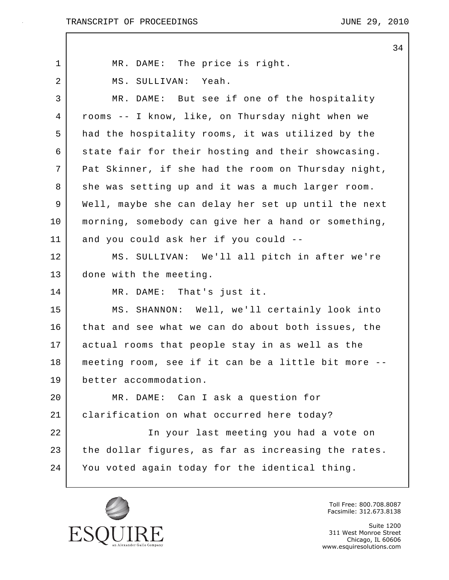$\mathbf{I}$ 

|    | 34                                                  |
|----|-----------------------------------------------------|
| 1  | MR. DAME: The price is right.                       |
| 2  | MS. SULLIVAN: Yeah.                                 |
| 3  | MR. DAME: But see if one of the hospitality         |
| 4  | rooms -- I know, like, on Thursday night when we    |
| 5  | had the hospitality rooms, it was utilized by the   |
| 6  | state fair for their hosting and their showcasing.  |
| 7  | Pat Skinner, if she had the room on Thursday night, |
| 8  | she was setting up and it was a much larger room.   |
| 9  | Well, maybe she can delay her set up until the next |
| 10 | morning, somebody can give her a hand or something, |
| 11 | and you could ask her if you could --               |
| 12 | MS. SULLIVAN: We'll all pitch in after we're        |
| 13 | done with the meeting.                              |
| 14 | MR. DAME: That's just it.                           |
| 15 | MS. SHANNON: Well, we'll certainly look into        |
| 16 | that and see what we can do about both issues, the  |
| 17 | actual rooms that people stay in as well as the     |
| 18 | meeting room, see if it can be a little bit more    |
| 19 | better accommodation.                               |
| 20 | MR. DAME: Can I ask a question for                  |
| 21 | clarification on what occurred here today?          |
| 22 | In your last meeting you had a vote on              |
| 23 | the dollar figures, as far as increasing the rates. |
| 24 | You voted again today for the identical thing.      |
|    |                                                     |



Toll Free: 800.708.8087 Facsimile: 312.673.8138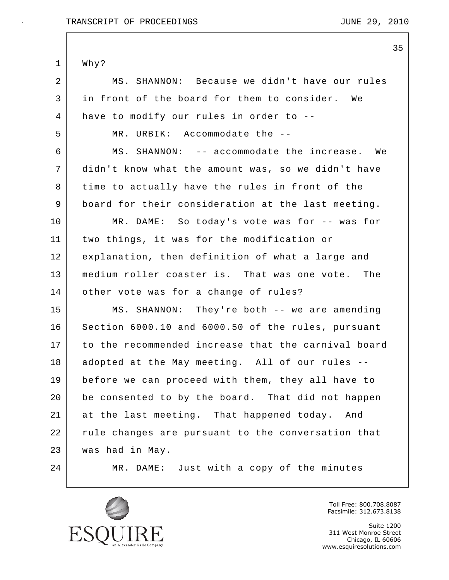35 1 Why? 2 MS. SHANNON: Because we didn't have our rules 3 in front of the board for them to consider. We 4 have to modify our rules in order to -- 5 MR. URBIK: Accommodate the -- 6 MS. SHANNON: -- accommodate the increase. We 7 didn't know what the amount was, so we didn't have 8 time to actually have the rules in front of the 9 board for their consideration at the last meeting. 10 MR. DAME: So today's vote was for -- was for 11 two things, it was for the modification or 12 explanation, then definition of what a large and 13 medium roller coaster is. That was one vote. The 14 other vote was for a change of rules? 15 MS. SHANNON: They're both -- we are amending 16 Section 6000.10 and 6000.50 of the rules, pursuant 17 to the recommended increase that the carnival board 18 adopted at the May meeting. All of our rules --19 before we can proceed with them, they all have to 20 be consented to by the board. That did not happen 21 at the last meeting. That happened today. And 22 | rule changes are pursuant to the conversation that 23 was had in May. 24 MR. DAME: Just with a copy of the minutes



Toll Free: 800.708.8087 Facsimile: 312.673.8138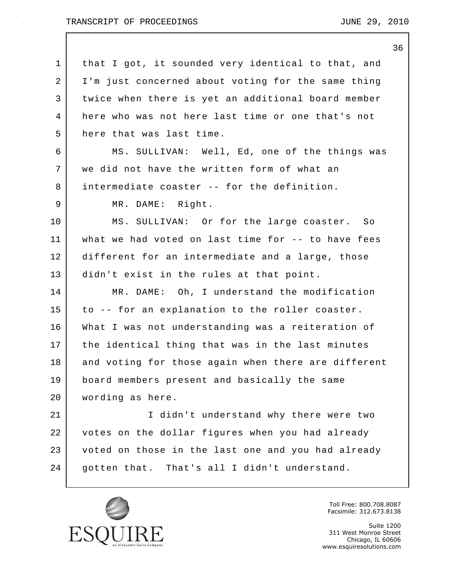$\mathbf I$ 

|             | 36                                                  |
|-------------|-----------------------------------------------------|
| $\mathbf 1$ | that I got, it sounded very identical to that, and  |
| 2           | I'm just concerned about voting for the same thing  |
| 3           | twice when there is yet an additional board member  |
| 4           | here who was not here last time or one that's not   |
| 5           | here that was last time.                            |
| 6           | MS. SULLIVAN: Well, Ed, one of the things was       |
| 7           | we did not have the written form of what an         |
| 8           | intermediate coaster -- for the definition.         |
| 9           | MR. DAME: Right.                                    |
| 10          | MS. SULLIVAN: Or for the large coaster. So          |
| 11          | what we had voted on last time for -- to have fees  |
| 12          | different for an intermediate and a large, those    |
| 13          | didn't exist in the rules at that point.            |
| 14          | MR. DAME: Oh, I understand the modification         |
| 15          | to -- for an explanation to the roller coaster.     |
| 16          | What I was not understanding was a reiteration of   |
| 17          | the identical thing that was in the last minutes    |
| 18          | and voting for those again when there are different |
| 19          | board members present and basically the same        |
| 20          | wording as here.                                    |
| 21          | I didn't understand why there were two              |
| 22          | votes on the dollar figures when you had already    |
| 23          | voted on those in the last one and you had already  |
| 24          | gotten that. That's all I didn't understand.        |
|             |                                                     |



Toll Free: 800.708.8087 Facsimile: 312.673.8138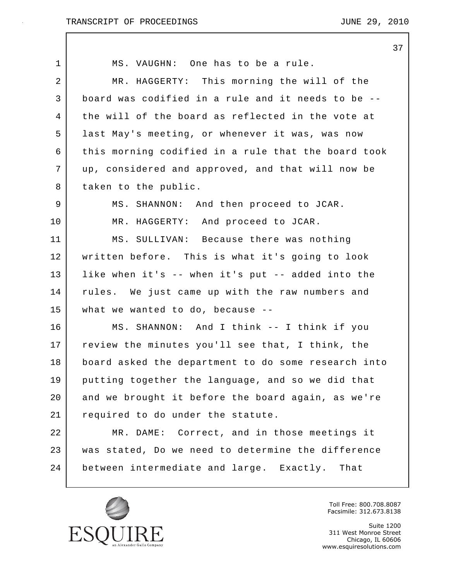$\mathbf{I}$ 

37

| 1  | MS. VAUGHN: One has to be a rule.                   |
|----|-----------------------------------------------------|
| 2  | MR. HAGGERTY: This morning the will of the          |
| 3  | board was codified in a rule and it needs to be --  |
| 4  | the will of the board as reflected in the vote at   |
| 5  | last May's meeting, or whenever it was, was now     |
| 6  | this morning codified in a rule that the board took |
| 7  | up, considered and approved, and that will now be   |
| 8  | taken to the public.                                |
| 9  | MS. SHANNON: And then proceed to JCAR.              |
| 10 | MR. HAGGERTY: And proceed to JCAR.                  |
| 11 | MS. SULLIVAN: Because there was nothing             |
| 12 | written before. This is what it's going to look     |
| 13 | like when it's -- when it's put -- added into the   |
| 14 | rules. We just came up with the raw numbers and     |
| 15 | what we wanted to do, because --                    |
| 16 | MS. SHANNON: And I think -- I think if you          |
| 17 | review the minutes you'll see that, I think, the    |
| 18 | board asked the department to do some research into |
| 19 | putting together the language, and so we did that   |
| 20 | and we brought it before the board again, as we're  |
| 21 | required to do under the statute.                   |
| 22 | MR. DAME: Correct, and in those meetings it         |
| 23 | was stated, Do we need to determine the difference  |
| 24 | between intermediate and large. Exactly. That       |
|    |                                                     |



Toll Free: 800.708.8087 Facsimile: 312.673.8138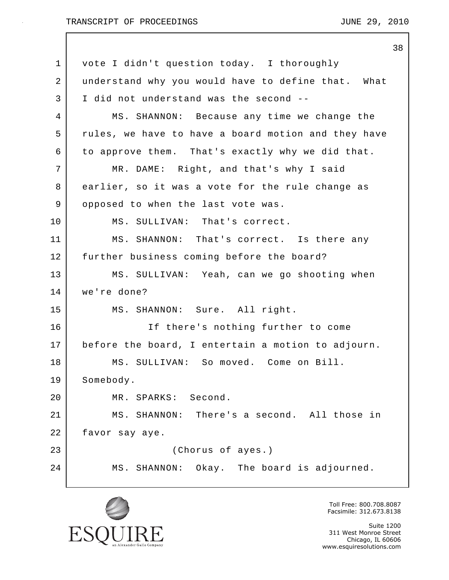|    | 38                                                  |
|----|-----------------------------------------------------|
| 1  | vote I didn't question today. I thoroughly          |
| 2  | understand why you would have to define that. What  |
| 3  | I did not understand was the second --              |
| 4  | MS. SHANNON: Because any time we change the         |
| 5  | rules, we have to have a board motion and they have |
| 6  | to approve them. That's exactly why we did that.    |
| 7  | MR. DAME: Right, and that's why I said              |
| 8  | earlier, so it was a vote for the rule change as    |
| 9  | opposed to when the last vote was.                  |
| 10 | MS. SULLIVAN: That's correct.                       |
| 11 | MS. SHANNON: That's correct. Is there any           |
| 12 | further business coming before the board?           |
| 13 | MS. SULLIVAN: Yeah, can we go shooting when         |
| 14 | we're done?                                         |
| 15 | MS. SHANNON: Sure. All right.                       |
| 16 | If there's nothing further to come                  |
| 17 | before the board, I entertain a motion to adjourn.  |
| 18 | MS. SULLIVAN: So moved. Come on Bill.               |
| 19 | Somebody.                                           |
| 20 | MR. SPARKS: Second.                                 |
| 21 | MS. SHANNON: There's a second. All those in         |
| 22 | favor say aye.                                      |
| 23 | (Chorus of ayes.)                                   |
| 24 | MS. SHANNON: Okay. The board is adjourned.          |
|    |                                                     |



Toll Free: 800.708.8087 Facsimile: 312.673.8138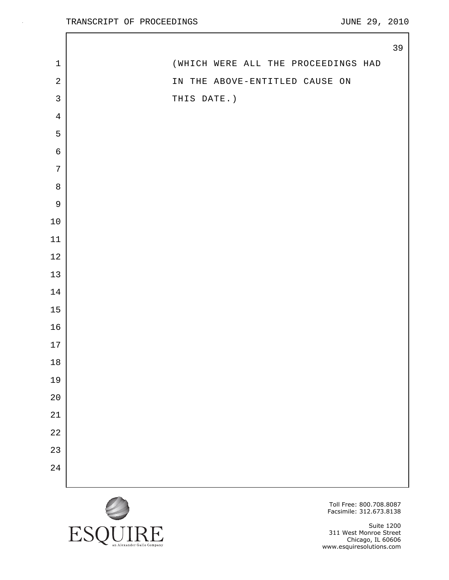$\mathsf{l}$ 

|                | 39                                  |  |
|----------------|-------------------------------------|--|
| $\mathbf 1$    | (WHICH WERE ALL THE PROCEEDINGS HAD |  |
| $\sqrt{2}$     | IN THE ABOVE-ENTITLED CAUSE ON      |  |
| $\mathsf{3}$   | THIS DATE.)                         |  |
| $\overline{4}$ |                                     |  |
| 5              |                                     |  |
| $\epsilon$     |                                     |  |
| $\sqrt{ }$     |                                     |  |
| $\,8\,$        |                                     |  |
| $\mathsf 9$    |                                     |  |
| $10\,$         |                                     |  |
| $11\,$         |                                     |  |
| $12$           |                                     |  |
| 13             |                                     |  |
| $14$           |                                     |  |
| $15\,$         |                                     |  |
| 16             |                                     |  |
| $17$           |                                     |  |
| $18\,$         |                                     |  |
| 19             |                                     |  |
| $2\,0$         |                                     |  |
| $21\,$         |                                     |  |
| $2\sqrt{2}$    |                                     |  |
| 23             |                                     |  |
| 24             |                                     |  |
|                |                                     |  |



Toll Free: 800.708.8087 Facsimile: 312.673.8138